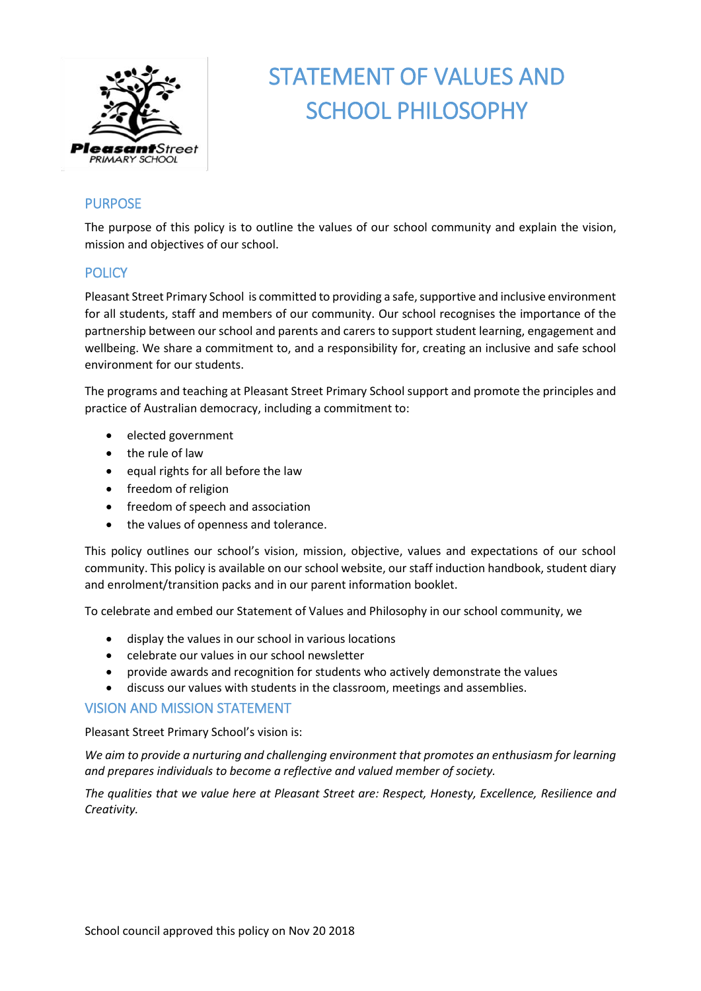

# STATEMENT OF VALUES AND SCHOOL PHILOSOPHY

# PURPOSE

The purpose of this policy is to outline the values of our school community and explain the vision, mission and objectives of our school.

## **POLICY**

Pleasant Street Primary School is committed to providing a safe, supportive and inclusive environment for all students, staff and members of our community. Our school recognises the importance of the partnership between our school and parents and carers to support student learning, engagement and wellbeing. We share a commitment to, and a responsibility for, creating an inclusive and safe school environment for our students.

The programs and teaching at Pleasant Street Primary School support and promote the principles and practice of Australian democracy, including a commitment to:

- elected government
- the rule of law
- $\bullet$  equal rights for all before the law
- freedom of religion
- freedom of speech and association
- the values of openness and tolerance.

This policy outlines our school's vision, mission, objective, values and expectations of our school community. This policy is available on our school website, our staff induction handbook, student diary and enrolment/transition packs and in our parent information booklet.

To celebrate and embed our Statement of Values and Philosophy in our school community, we

- display the values in our school in various locations
- celebrate our values in our school newsletter
- provide awards and recognition for students who actively demonstrate the values
- discuss our values with students in the classroom, meetings and assemblies.

### VISION AND MISSION STATEMENT

Pleasant Street Primary School's vision is:

*We aim to provide a nurturing and challenging environment that promotes an enthusiasm for learning and prepares individuals to become a reflective and valued member of society.*

*The qualities that we value here at Pleasant Street are: Respect, Honesty, Excellence, Resilience and Creativity.*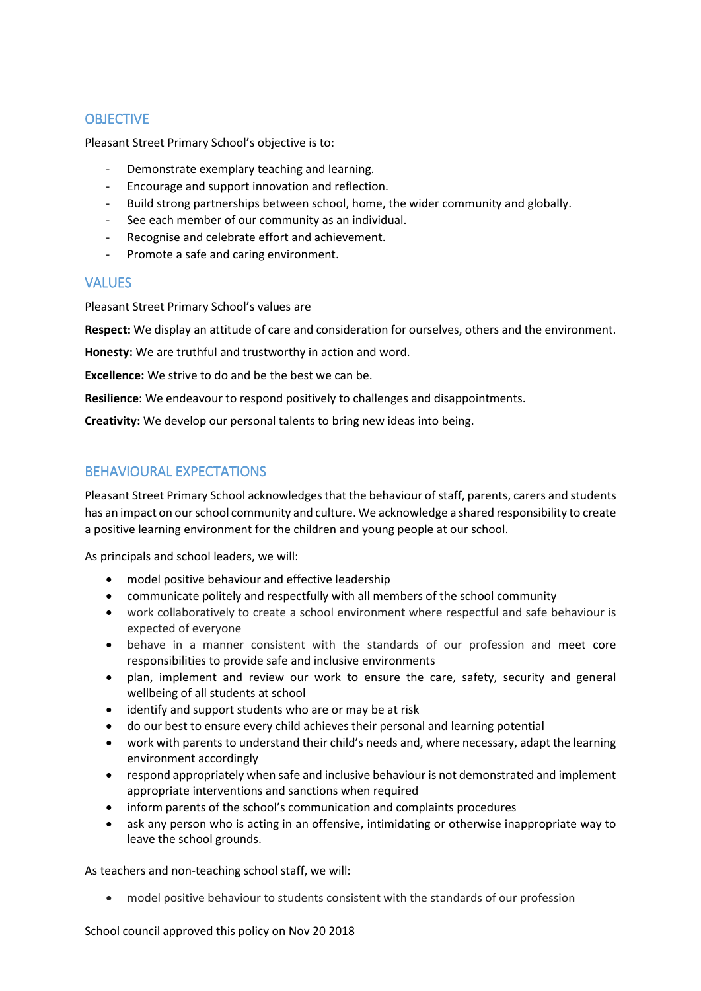# **OBJECTIVE**

Pleasant Street Primary School's objective is to:

- Demonstrate exemplary teaching and learning.
- Encourage and support innovation and reflection.
- Build strong partnerships between school, home, the wider community and globally.
- See each member of our community as an individual.
- Recognise and celebrate effort and achievement.
- Promote a safe and caring environment.

### VALUES

Pleasant Street Primary School's values are

**Respect:** We display an attitude of care and consideration for ourselves, others and the environment.

**Honesty:** We are truthful and trustworthy in action and word.

**Excellence:** We strive to do and be the best we can be.

**Resilience**: We endeavour to respond positively to challenges and disappointments.

**Creativity:** We develop our personal talents to bring new ideas into being.

# BEHAVIOURAL EXPECTATIONS

Pleasant Street Primary School acknowledges that the behaviour of staff, parents, carers and students has an impact on our school community and culture. We acknowledge a shared responsibility to create a positive learning environment for the children and young people at our school.

As principals and school leaders, we will:

- model positive behaviour and effective leadership
- communicate politely and respectfully with all members of the school community
- work collaboratively to create a school environment where respectful and safe behaviour is expected of everyone
- behave in a manner consistent with the standards of our profession and meet core responsibilities to provide safe and inclusive environments
- plan, implement and review our work to ensure the care, safety, security and general wellbeing of all students at school
- identify and support students who are or may be at risk
- do our best to ensure every child achieves their personal and learning potential
- work with parents to understand their child's needs and, where necessary, adapt the learning environment accordingly
- respond appropriately when safe and inclusive behaviour is not demonstrated and implement appropriate interventions and sanctions when required
- inform parents of the school's communication and complaints procedures
- ask any person who is acting in an offensive, intimidating or otherwise inappropriate way to leave the school grounds.

As teachers and non-teaching school staff, we will:

model positive behaviour to students consistent with the standards of our profession

School council approved this policy on Nov 20 2018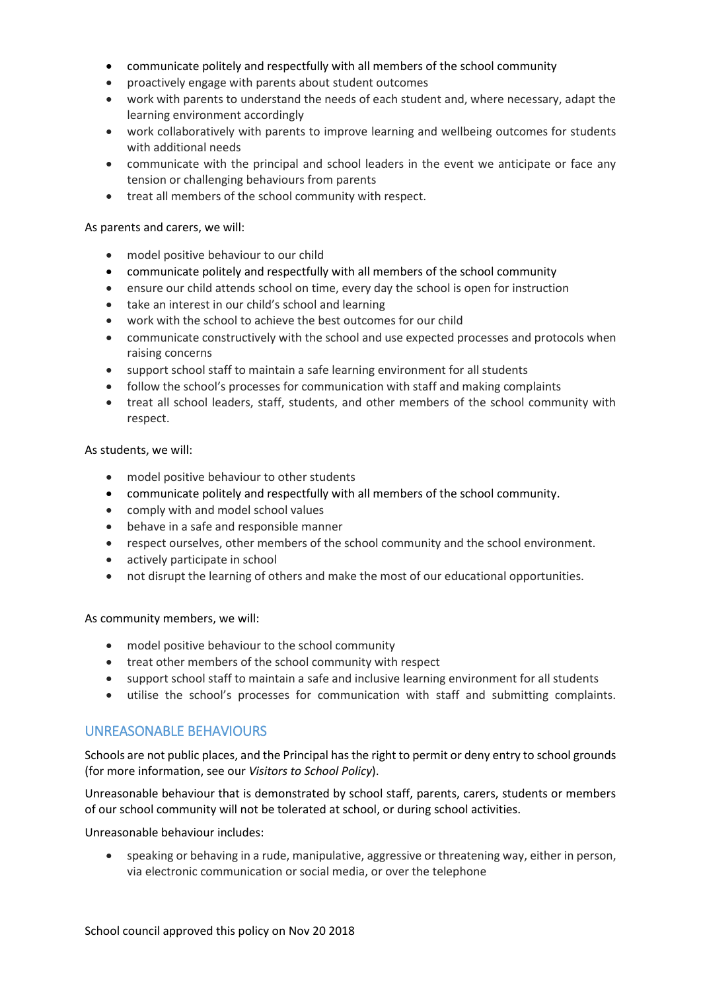- communicate politely and respectfully with all members of the school community
- proactively engage with parents about student outcomes
- work with parents to understand the needs of each student and, where necessary, adapt the learning environment accordingly
- work collaboratively with parents to improve learning and wellbeing outcomes for students with additional needs
- communicate with the principal and school leaders in the event we anticipate or face any tension or challenging behaviours from parents
- treat all members of the school community with respect.

#### As parents and carers, we will:

- model positive behaviour to our child
- communicate politely and respectfully with all members of the school community
- ensure our child attends school on time, every day the school is open for instruction
- take an interest in our child's school and learning
- work with the school to achieve the best outcomes for our child
- communicate constructively with the school and use expected processes and protocols when raising concerns
- support school staff to maintain a safe learning environment for all students
- follow the school's processes for communication with staff and making complaints
- treat all school leaders, staff, students, and other members of the school community with respect.

#### As students, we will:

- model positive behaviour to other students
- communicate politely and respectfully with all members of the school community.
- comply with and model school values
- behave in a safe and responsible manner
- respect ourselves, other members of the school community and the school environment.
- actively participate in school
- not disrupt the learning of others and make the most of our educational opportunities.

As community members, we will:

- model positive behaviour to the school community
- treat other members of the school community with respect
- support school staff to maintain a safe and inclusive learning environment for all students
- utilise the school's processes for communication with staff and submitting complaints.

### UNREASONABLE BEHAVIOURS

Schools are not public places, and the Principal has the right to permit or deny entry to school grounds (for more information, see our *Visitors to School Policy*).

Unreasonable behaviour that is demonstrated by school staff, parents, carers, students or members of our school community will not be tolerated at school, or during school activities.

Unreasonable behaviour includes:

 speaking or behaving in a rude, manipulative, aggressive or threatening way, either in person, via electronic communication or social media, or over the telephone